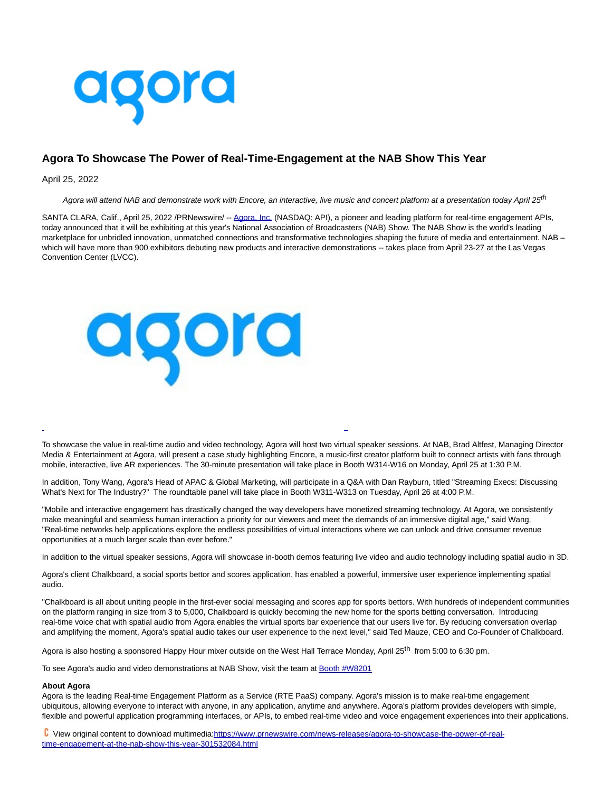

## **Agora To Showcase The Power of Real-Time-Engagement at the NAB Show This Year**

## April 25, 2022

Agora will attend NAB and demonstrate work with Encore, an interactive, live music and concert platform at a presentation today April 25<sup>th</sup>

SANTA CLARA, Calif., April 25, 2022 /PRNewswire/ -- [Agora, Inc. \(](https://c212.net/c/link/?t=0&l=en&o=3514849-1&h=2640988300&u=https%3A%2F%2Fwww.agora.io%2Fen%2F&a=Agora%2C+Inc.)NASDAQ: API), a pioneer and leading platform for real-time engagement APIs, today announced that it will be exhibiting at this year's National Association of Broadcasters (NAB) Show. The NAB Show is the world's leading marketplace for unbridled innovation, unmatched connections and transformative technologies shaping the future of media and entertainment. NAB which will have more than 900 exhibitors debuting new products and interactive demonstrations -- takes place from April 23-27 at the Las Vegas Convention Center (LVCC).



To showcase the value in real-time audio and video technology, Agora will host two virtual speaker sessions. At NAB, Brad Altfest, Managing Director Media & Entertainment at Agora, will present a case study highlighting Encore, a music-first creator platform built to connect artists with fans through mobile, interactive, live AR experiences. The 30-minute presentation will take place in Booth W314-W16 on Monday, April 25 at 1:30 P.M.

 $\overline{a}$ 

In addition, Tony Wang, Agora's Head of APAC & Global Marketing, will participate in a Q&A with Dan Rayburn, titled "Streaming Execs: Discussing What's Next for The Industry?" The roundtable panel will take place in Booth W311-W313 on Tuesday, April 26 at 4:00 P.M.

"Mobile and interactive engagement has drastically changed the way developers have monetized streaming technology. At Agora, we consistently make meaningful and seamless human interaction a priority for our viewers and meet the demands of an immersive digital age," said Wang. "Real-time networks help applications explore the endless possibilities of virtual interactions where we can unlock and drive consumer revenue opportunities at a much larger scale than ever before."

In addition to the virtual speaker sessions, Agora will showcase in-booth demos featuring live video and audio technology including spatial audio in 3D.

Agora's client Chalkboard, a social sports bettor and scores application, has enabled a powerful, immersive user experience implementing spatial audio.

"Chalkboard is all about uniting people in the first-ever social messaging and scores app for sports bettors. With hundreds of independent communities on the platform ranging in size from 3 to 5,000, Chalkboard is quickly becoming the new home for the sports betting conversation. Introducing real-time voice chat with spatial audio from Agora enables the virtual sports bar experience that our users live for. By reducing conversation overlap and amplifying the moment, Agora's spatial audio takes our user experience to the next level," said Ted Mauze, CEO and Co-Founder of Chalkboard.

Agora is also hosting a sponsored Happy Hour mixer outside on the West Hall Terrace Monday, April 25<sup>th</sup> from 5:00 to 6:30 pm.

To see Agora's audio and video demonstrations at NAB Show, visit the team a[t Booth #W8201](https://c212.net/c/link/?t=0&l=en&o=3514849-1&h=695183298&u=https%3A%2F%2Fnabshow.com%2F2022%2F&a=Booth+%23W8201+)

## **About Agora**

Agora is the leading Real-time Engagement Platform as a Service (RTE PaaS) company. Agora's mission is to make real-time engagement ubiquitous, allowing everyone to interact with anyone, in any application, anytime and anywhere. Agora's platform provides developers with simple, flexible and powerful application programming interfaces, or APIs, to embed real-time video and voice engagement experiences into their applications.

 View original content to download multimedia[:https://www.prnewswire.com/news-releases/agora-to-showcase-the-power-of-real](https://www.prnewswire.com/news-releases/agora-to-showcase-the-power-of-real-time-engagement-at-the-nab-show-this-year-301532084.html)time-engagement-at-the-nab-show-this-year-301532084.html